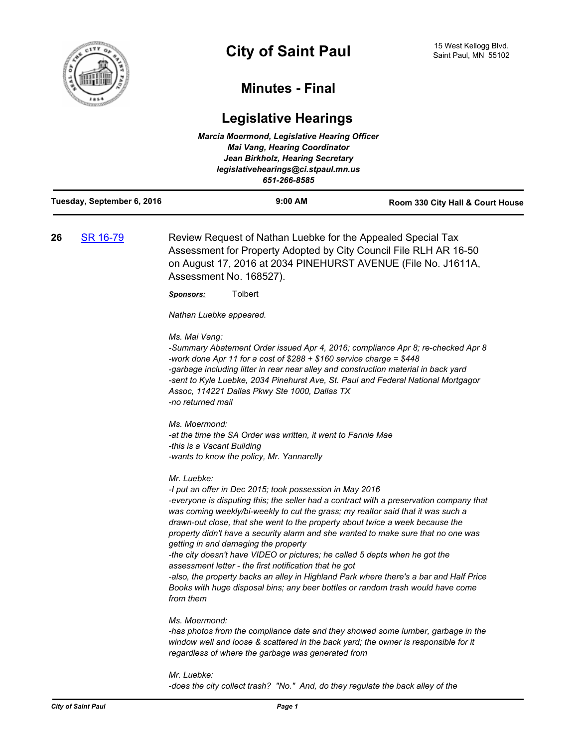

## **Minutes - Final**

## **Legislative Hearings**

| <b>Marcia Moermond, Legislative Hearing Officer</b><br><b>Mai Vang, Hearing Coordinator</b><br>Jean Birkholz, Hearing Secretary<br>legislativehearings@ci.stpaul.mn.us<br>651-266-8585 |          |                                                                                                                                                                                                                                                                                                                                                                                                                                                                                                                                                                                                                                                                                                                                                                                                         |                                  |
|----------------------------------------------------------------------------------------------------------------------------------------------------------------------------------------|----------|---------------------------------------------------------------------------------------------------------------------------------------------------------------------------------------------------------------------------------------------------------------------------------------------------------------------------------------------------------------------------------------------------------------------------------------------------------------------------------------------------------------------------------------------------------------------------------------------------------------------------------------------------------------------------------------------------------------------------------------------------------------------------------------------------------|----------------------------------|
| Tuesday, September 6, 2016                                                                                                                                                             |          | 9:00 AM                                                                                                                                                                                                                                                                                                                                                                                                                                                                                                                                                                                                                                                                                                                                                                                                 | Room 330 City Hall & Court House |
| 26                                                                                                                                                                                     | SR 16-79 | Review Request of Nathan Luebke for the Appealed Special Tax<br>Assessment for Property Adopted by City Council File RLH AR 16-50<br>on August 17, 2016 at 2034 PINEHURST AVENUE (File No. J1611A,<br>Assessment No. 168527).                                                                                                                                                                                                                                                                                                                                                                                                                                                                                                                                                                           |                                  |
|                                                                                                                                                                                        |          | Tolbert<br><u>Sponsors:</u>                                                                                                                                                                                                                                                                                                                                                                                                                                                                                                                                                                                                                                                                                                                                                                             |                                  |
|                                                                                                                                                                                        |          | Nathan Luebke appeared.                                                                                                                                                                                                                                                                                                                                                                                                                                                                                                                                                                                                                                                                                                                                                                                 |                                  |
|                                                                                                                                                                                        |          | Ms. Mai Vang:<br>-Summary Abatement Order issued Apr 4, 2016; compliance Apr 8; re-checked Apr 8<br>-work done Apr 11 for a cost of $$288 + $160$ service charge = \$448<br>-garbage including litter in rear near alley and construction material in back yard<br>-sent to Kyle Luebke, 2034 Pinehurst Ave, St. Paul and Federal National Mortgagor<br>Assoc, 114221 Dallas Pkwy Ste 1000, Dallas TX<br>-no returned mail                                                                                                                                                                                                                                                                                                                                                                              |                                  |
|                                                                                                                                                                                        |          | Ms. Moermond:<br>-at the time the SA Order was written, it went to Fannie Mae<br>-this is a Vacant Building<br>-wants to know the policy, Mr. Yannarelly                                                                                                                                                                                                                                                                                                                                                                                                                                                                                                                                                                                                                                                |                                  |
|                                                                                                                                                                                        |          | Mr. Luebke:<br>-I put an offer in Dec 2015; took possession in May 2016<br>-everyone is disputing this; the seller had a contract with a preservation company that<br>was coming weekly/bi-weekly to cut the grass; my realtor said that it was such a<br>drawn-out close, that she went to the property about twice a week because the<br>property didn't have a security alarm and she wanted to make sure that no one was<br>getting in and damaging the property<br>-the city doesn't have VIDEO or pictures; he called 5 depts when he got the<br>assessment letter - the first notification that he got<br>-also, the property backs an alley in Highland Park where there's a bar and Half Price<br>Books with huge disposal bins; any beer bottles or random trash would have come<br>from them |                                  |
|                                                                                                                                                                                        |          | Ms. Moermond:<br>-has photos from the compliance date and they showed some lumber, garbage in the<br>window well and loose & scattered in the back yard; the owner is responsible for it<br>regardless of where the garbage was generated from                                                                                                                                                                                                                                                                                                                                                                                                                                                                                                                                                          |                                  |
|                                                                                                                                                                                        |          | Mr. Luebke:<br>-does the city collect trash? "No." And, do they regulate the back alley of the                                                                                                                                                                                                                                                                                                                                                                                                                                                                                                                                                                                                                                                                                                          |                                  |